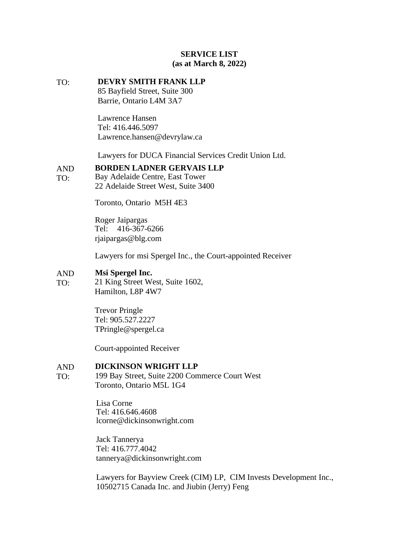# **SERVICE LIST (as at March 8, 2022)**

TO: **DEVRY SMITH FRANK LLP** 85 Bayfield Street, Suite 300 Barrie, Ontario L4M 3A7 Lawrence Hansen Tel: 416.446.5097 Lawrence.hansen@devrylaw.ca Lawyers for DUCA Financial Services Credit Union Ltd. AND TO: **BORDEN LADNER GERVAIS LLP** Bay Adelaide Centre, East Tower 22 Adelaide Street West, Suite 3400 Toronto, Ontario M5H 4E3 Roger Jaipargas Tel: 416-367-6266 rjaipargas@blg.com Lawyers for msi Spergel Inc., the Court-appointed Receiver AND TO: **Msi Spergel Inc.** 21 King Street West, Suite 1602, Hamilton, L8P 4W7 Trevor Pringle Tel: 905.527.2227 TPringle@spergel.ca

Court-appointed Receiver

## AND **DICKINSON WRIGHT LLP**

TO: 199 Bay Street, Suite 2200 Commerce Court West Toronto, Ontario M5L 1G4

> Lisa Corne Tel: 416.646.4608 lcorne@dickinsonwright.com

Jack Tannerya Tel: 416.777.4042 tannerya@dickinsonwright.com

Lawyers for Bayview Creek (CIM) LP, CIM Invests Development Inc., 10502715 Canada Inc. and Jiubin (Jerry) Feng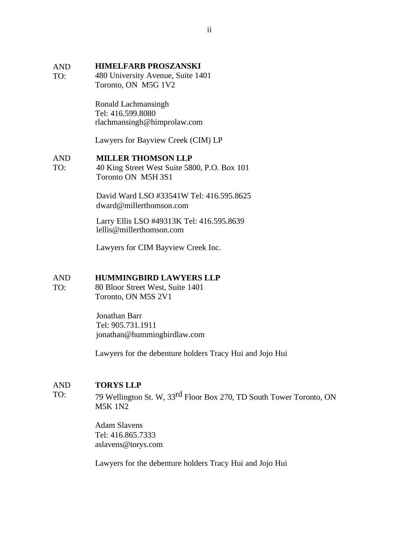#### AND **HIMELFARB PROSZANSKI**

TO: 480 University Avenue, Suite 1401 Toronto, ON M5G 1V2

> Ronald Lachmansingh Tel: 416.599.8080 rlachmansingh@himprolaw.com

Lawyers for Bayview Creek (CIM) LP

## AND **MILLER THOMSON LLP**

TO: 40 King Street West Suite 5800, P.O. Box 101 Toronto ON M5H 3S1

> David Ward LSO #33541W Tel: 416.595.8625 dward@millerthomson.com

Larry Ellis LSO #49313K Tel: 416.595.8639 lellis@millerthomson.com

Lawyers for CIM Bayview Creek Inc.

#### AND **HUMMINGBIRD LAWYERS LLP**

TO: 80 Bloor Street West, Suite 1401 Toronto, ON M5S 2V1

> Jonathan Barr Tel: 905.731.1911 jonathan@hummingbirdlaw.com

Lawyers for the debenture holders Tracy Hui and Jojo Hui

## AND **TORYS LLP**

TO: 79 Wellington St. W, 33rd Floor Box 270, TD South Tower Toronto, ON M5K 1N2

> Adam Slavens Tel: 416.865.7333 aslavens@torys.com

Lawyers for the debenture holders Tracy Hui and Jojo Hui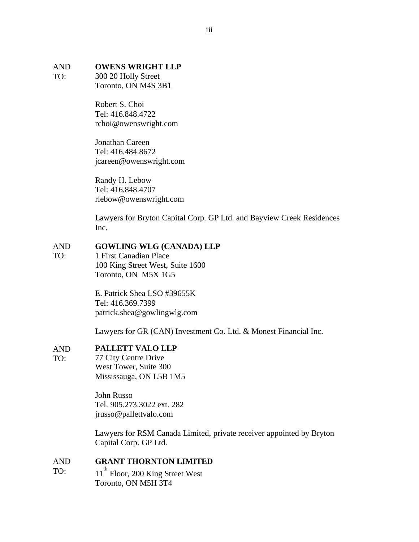#### AND **OWENS WRIGHT LLP**

TO: 300 20 Holly Street Toronto, ON M4S 3B1

> Robert S. Choi Tel: 416.848.4722 rchoi@owenswright.com

Jonathan Careen Tel: 416.484.8672 jcareen@owenswright.com

Randy H. Lebow Tel: 416.848.4707 rlebow@owenswright.com

Lawyers for Bryton Capital Corp. GP Ltd. and Bayview Creek Residences Inc.

#### AND **GOWLING WLG (CANADA) LLP**

TO: 1 First Canadian Place 100 King Street West, Suite 1600 Toronto, ON M5X 1G5

> E. Patrick Shea LSO #39655K Tel: 416.369.7399 patrick.shea@gowlingwlg.com

Lawyers for GR (CAN) Investment Co. Ltd. & Monest Financial Inc.

#### AND **PALLETT VALO LLP**

TO: 77 City Centre Drive West Tower, Suite 300 Mississauga, ON L5B 1M5

> John Russo Tel. 905.273.3022 ext. 282 jrusso@pallettvalo.com

Lawyers for RSM Canada Limited, private receiver appointed by Bryton Capital Corp. GP Ltd.

## AND **GRANT THORNTON LIMITED**

TO: 11<sup>th</sup> Floor, 200 King Street West Toronto, ON M5H 3T4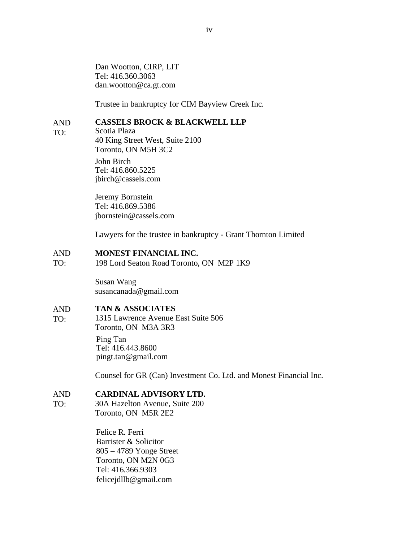Dan Wootton, CIRP, LIT Tel: 416.360.3063 dan.wootton@ca.gt.com

Trustee in bankruptcy for CIM Bayview Creek Inc.

## AND **CASSELS BROCK & BLACKWELL LLP**

TO:

Scotia Plaza 40 King Street West, Suite 2100 Toronto, ON M5H 3C2

John Birch Tel: 416.860.5225 jbirch@cassels.com

Jeremy Bornstein Tel: 416.869.5386 jbornstein@cassels.com

Lawyers for the trustee in bankruptcy - Grant Thornton Limited

## AND **MONEST FINANCIAL INC.**

TO: 198 Lord Seaton Road Toronto, ON M2P 1K9

> Susan Wang susancanada@gmail.com

## AND **TAN & ASSOCIATES**

TO: 1315 Lawrence Avenue East Suite 506 Toronto, ON M3A 3R3

> Ping Tan Tel: 416.443.8600 pingt.tan@gmail.com

Counsel for GR (Can) Investment Co. Ltd. and Monest Financial Inc.

### AND **CARDINAL ADVISORY LTD.**

TO: 30A Hazelton Avenue, Suite 200 Toronto, ON M5R 2E2

> Felice R. Ferri Barrister & Solicitor 805 – 4789 Yonge Street Toronto, ON M2N 0G3 Tel: 416.366.9303 felicejdllb@gmail.com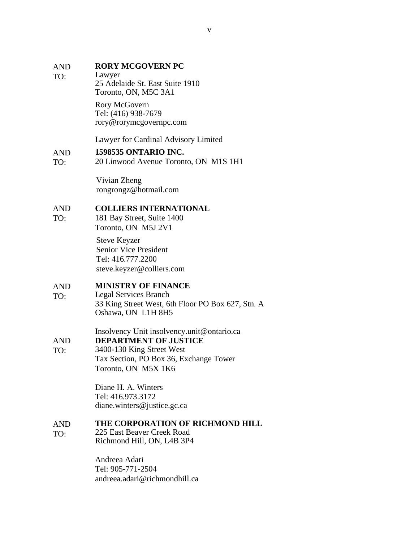#### AND **RORY MCGOVERN PC**

TO: Lawyer 25 Adelaide St. East Suite 1910 Toronto, ON, M5C 3A1

> Rory McGovern Tel: (416) 938-7679 rory@rorymcgovernpc.com

Lawyer for Cardinal Advisory Limited

#### AND **1598535 ONTARIO INC.**

TO: 20 Linwood Avenue Toronto, ON M1S 1H1

> Vivian Zheng rongrongz@hotmail.com

### AND **COLLIERS INTERNATIONAL**

TO: 181 Bay Street, Suite 1400 Toronto, ON M5J 2V1

> Steve Keyzer Senior Vice President Tel: 416.777.2200 steve.keyzer@colliers.com

### AND **MINISTRY OF FINANCE**

TO: Legal Services Branch 33 King Street West, 6th Floor PO Box 627, Stn. A Oshawa, ON L1H 8H5

Insolvency Unit insolvency.unit@ontario.ca

## AND **DEPARTMENT OF JUSTICE**

TO: 3400-130 King Street West Tax Section, PO Box 36, Exchange Tower Toronto, ON M5X 1K6

> Diane H. A. Winters Tel: 416.973.3172 diane.winters@justice.gc.ca

## AND **THE CORPORATION OF RICHMOND HILL**

TO: 225 East Beaver Creek Road Richmond Hill, ON, L4B 3P4

> Andreea Adari Tel: 905-771-2504 andreea.adari@richmondhill.ca